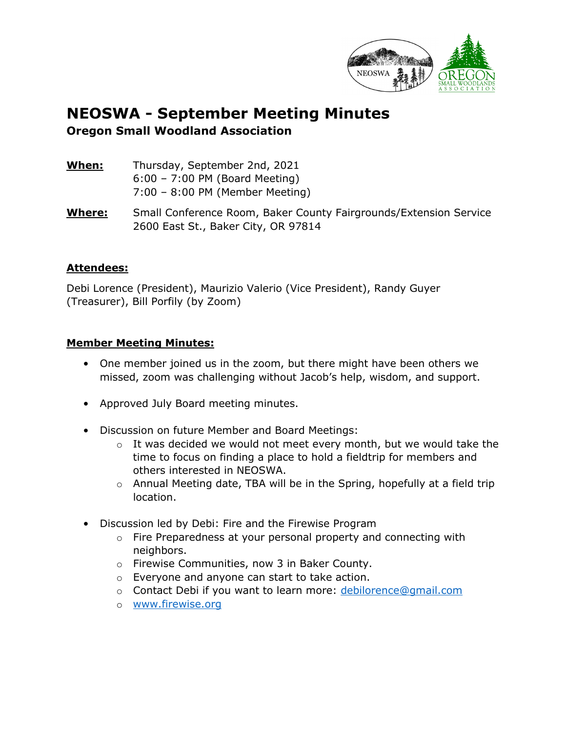

## **NEOSWA - September Meeting Minutes Oregon Small Woodland Association**

| When: | Thursday, September 2nd, 2021             |
|-------|-------------------------------------------|
|       | $6:00 - 7:00$ PM (Board Meeting)          |
|       | $7:00 - 8:00 \text{ PM}$ (Member Meeting) |

**Where:** Small Conference Room, Baker County Fairgrounds/Extension Service 2600 East St., Baker City, OR 97814

## **Attendees:**

Debi Lorence (President), Maurizio Valerio (Vice President), Randy Guyer (Treasurer), Bill Porfily (by Zoom)

## **Member Meeting Minutes:**

- One member joined us in the zoom, but there might have been others we missed, zoom was challenging without Jacob's help, wisdom, and support.
- Approved July Board meeting minutes.
- Discussion on future Member and Board Meetings:
	- $\circ$  It was decided we would not meet every month, but we would take the time to focus on finding a place to hold a fieldtrip for members and others interested in NEOSWA.
	- $\circ$  Annual Meeting date, TBA will be in the Spring, hopefully at a field trip location.
- Discussion led by Debi: Fire and the Firewise Program
	- $\circ$  Fire Preparedness at your personal property and connecting with neighbors.
	- o Firewise Communities, now 3 in Baker County.
	- o Everyone and anyone can start to take action.
	- o Contact Debi if you want to learn more: [debilorence@gmail.com](mailto:debilorence@gmail.com)
	- o [www.firewise.org](http://www.firewise.org/)